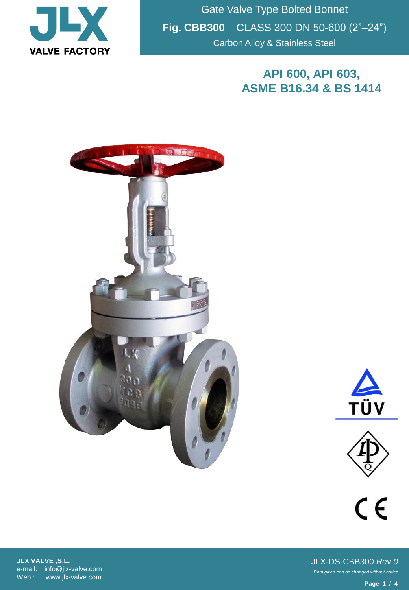

Gate Valve Type Bolted Bonnet **Fig. CBB300** CLASS 300 DN 50-600 (2"–24") Carbon Alloy & Stainless Steel

## **API 600, API 603, ASME B16.34 & BS 1414**







 $C \in$ 

**JLX VALVE ,S.L.** e-mail: info@jlx-valve.com Web : www.jlx-valve.com

*Data given can be changed without notice.* JLX-DS-CBB300 *Rev.0*

**Page 1 / 4**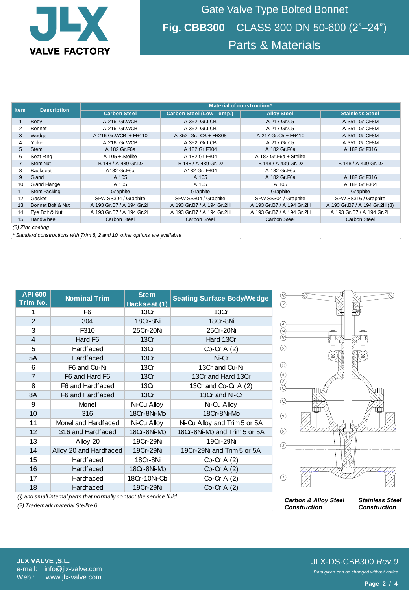

Gate Valve Type Bolted Bonnet **Fig. CBB300** CLASS 300 DN 50-600 (2"–24") Parts & Materials

| <b>Item</b>      | <b>Description</b>  | Material of construction* |                                 |                           |                               |  |  |  |
|------------------|---------------------|---------------------------|---------------------------------|---------------------------|-------------------------------|--|--|--|
|                  |                     | <b>Carbon Steel</b>       | <b>Carbon Steel (Low Temp.)</b> | <b>Alloy Steel</b>        | <b>Stainless Steel</b>        |  |  |  |
|                  | Body                | A 216 Gr.WCB              | A 352 Gr.LCB                    | A 217 Gr.C5               | A 351 Gr.CF8M                 |  |  |  |
| $\overline{2}$   | <b>Bonnet</b>       | A 216 Gr.WCB              | A 352 Gr.LCB                    | A 217 Gr.C5               | A 351 Gr.CF8M                 |  |  |  |
| 3                | Wedge               | A 216 Gr. WCB + ER410     | A 352 Gr.LCB + ER308            | A 217 Gr.C5 + ER410       | A 351 Gr.CF8M                 |  |  |  |
| 4                | Yoke                | A 216 Gr.WCB              | A 352 Gr.LCB                    | A 217 Gr.C5               | A 351 Gr.CF8M                 |  |  |  |
| 5                | <b>Stem</b>         | A 182 Gr. F6a             | A 182 Gr.F304                   | A 182 Gr. F6a             | A 182 Gr.F316                 |  |  |  |
| 6                | Seat Ring           | $A$ 105 + Stellite        | A 182 Gr.F304                   | A 182 Gr. F6a + Stellite  | -----                         |  |  |  |
|                  | <b>Stem Nut</b>     | B 148 / A 439 Gr.D2       | B 148 / A 439 Gr.D2             | B 148 / A 439 Gr.D2       | B 148 / A 439 Gr.D2           |  |  |  |
| 8                | Backseat            | A182 Gr.F6a               | A182 Gr. F304                   | A 182 Gr. F6a             | $- - - - -$                   |  |  |  |
| 9                | Gland               | A 105                     | A 105                           | A 182 Gr. F6a             | A 182 Gr.F316                 |  |  |  |
| 10               | <b>Gland Flange</b> | A 105                     | A 105                           | A 105                     | A 182 Gr.F304                 |  |  |  |
| 11               | <b>Stem Packing</b> | Graphite                  | Graphite                        | Graphite                  | Graphite                      |  |  |  |
| 12               | Gasket              | SPW SS304 / Graphite      | SPW SS304 / Graphite            | SPW SS304 / Graphite      | SPW SS316 / Graphite          |  |  |  |
| 13               | Bonnet Bolt & Nut   | A 193 Gr.B7 / A 194 Gr.2H | A 193 Gr.B7 / A 194 Gr.2H       | A 193 Gr.B7 / A 194 Gr.2H | A 193 Gr.B7 / A 194 Gr.2H (3) |  |  |  |
| 14               | Eye Bolt & Nut      | A 193 Gr.B7 / A 194 Gr.2H | A 193 Gr.B7 / A 194 Gr.2H       | A 193 Gr.B7 / A 194 Gr.2H | A 193 Gr.B7 / A 194 Gr.2H     |  |  |  |
| 15               | Handw heel          | Carbon Steel              | <b>Carbon Steel</b>             | Carbon Steel              | <b>Carbon Steel</b>           |  |  |  |
| (3) Zinc coating |                     |                           |                                 |                           |                               |  |  |  |

*(3) Zinc coating*

*\* Standard constructions with Trim 8, 2 and 10, other options are available*

| <b>API 600</b><br>Trim No. | <b>Nominal Trim</b>    | <b>Stem</b><br>Backseat (1) | <b>Seating Surface Body/Wedge</b> |  |  |
|----------------------------|------------------------|-----------------------------|-----------------------------------|--|--|
| 1                          | F <sub>6</sub>         | 13Cr                        | 13Cr                              |  |  |
| 2                          | 304                    | 18Cr-8Ni                    | 18Cr-8Ni                          |  |  |
| 3                          | F310                   | 25Cr-20Ni                   | 25Cr-20Ni                         |  |  |
| $\overline{4}$             | Hard F6                | 13Cr                        | Hard 13Cr                         |  |  |
| 5                          | Hardfaced              | 13Cr                        | Co-Cr $A(2)$                      |  |  |
| 5A                         | <b>Hardfaced</b>       | 13Cr                        | Ni-Cr                             |  |  |
| 6                          | F6 and Cu-Ni           | 13Cr                        | 13Cr and Cu-Ni                    |  |  |
| $\overline{7}$             | F6 and Hard F6         | 13Cr                        | 13Cr and Hard 13Cr                |  |  |
| 8                          | F6 and Hardfaced       | 13Cr                        | 13Cr and Co-Cr A (2)              |  |  |
| 8A                         | F6 and Hardfaced       | 13Cr                        | 13Cr and Ni-Cr                    |  |  |
| 9                          | Monel                  | Ni-Cu Alloy                 | Ni-Cu Alloy                       |  |  |
| 10                         | 316                    | 18Cr-8Ni-Mo                 | 18Cr-8Ni-Mo                       |  |  |
| 11                         | Monel and Hardfaced    | Ni-Cu Alloy                 | Ni-Cu Alloy and Trim 5 or 5A      |  |  |
| 12                         | 316 and Hardfaced      | 18Cr-8Ni-Mo                 | 18Cr-8Ni-Mo and Trim 5 or 5A      |  |  |
| 13                         | Alloy 20               | 19Cr-29Ni                   | 19Cr-29Ni                         |  |  |
| 14                         | Alloy 20 and Hardfaced | 19Cr-29Ni                   | 19Cr-29Ni and Trim 5 or 5A        |  |  |
| 15                         | Hardfaced              | 18Cr-8Ni                    | $Co-Cr A(2)$                      |  |  |
| 16                         | Hardfaced              | 18Cr-8Ni-Mo                 | Co-Cr A $(2)$                     |  |  |
| 17                         | Hardfaced              | 18Cr-10Ni-Cb                | Co-Cr $A(2)$                      |  |  |
| 18                         | Hardfaced              | 19Cr-29Ni                   | Co-Cr $A(2)$                      |  |  |



*(1) and small internal parts that normally contact the service fluid*

*(2) Trademark material Stellite 6*

**JLX VALVE ,S.L.** e-mail: info@jlx-valve.com Web: www.jlx-valve.com

*Data given can be changed without notice.* JLX-DS-CBB300 *Rev.0*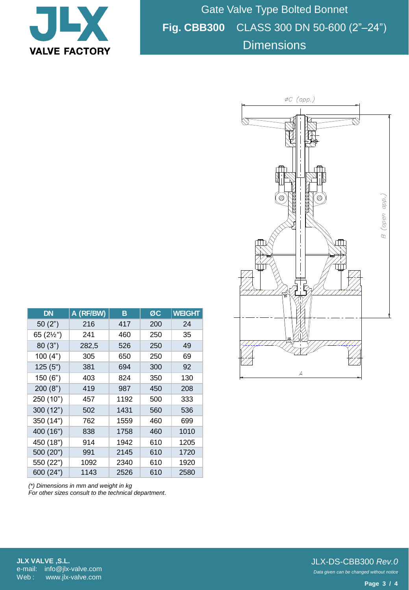

Gate Valve Type Bolted Bonnet **Fig. CBB300** CLASS 300 DN 50-600 (2"–24") **Dimensions** 

| <b>DN</b> | A (RF/BW) | в    | ØC  | <b>WEIGHT</b> |
|-----------|-----------|------|-----|---------------|
| 50(2")    | 216       | 417  | 200 | 24            |
| 65 (2½")  | 241       | 460  | 250 | 35            |
| 80(3")    | 282,5     | 526  | 250 | 49            |
| 100(4")   | 305       | 650  | 250 | 69            |
| 125(5")   | 381       | 694  | 300 | 92            |
| 150(6")   | 403       | 824  | 350 | 130           |
| 200(8")   | 419       | 987  | 450 | 208           |
| 250 (10") | 457       | 1192 | 500 | 333           |
| 300 (12") | 502       | 1431 | 560 | 536           |
| 350 (14") | 762       | 1559 | 460 | 699           |
| 400 (16") | 838       | 1758 | 460 | 1010          |
| 450 (18") | 914       | 1942 | 610 | 1205          |
| 500 (20") | 991       | 2145 | 610 | 1720          |
| 550 (22") | 1092      | 2340 | 610 | 1920          |
| 600 (24") | 1143      | 2526 | 610 | 2580          |

*(\*) Dimensions in mm and weight in kg For other sizes consult to the technical department.*